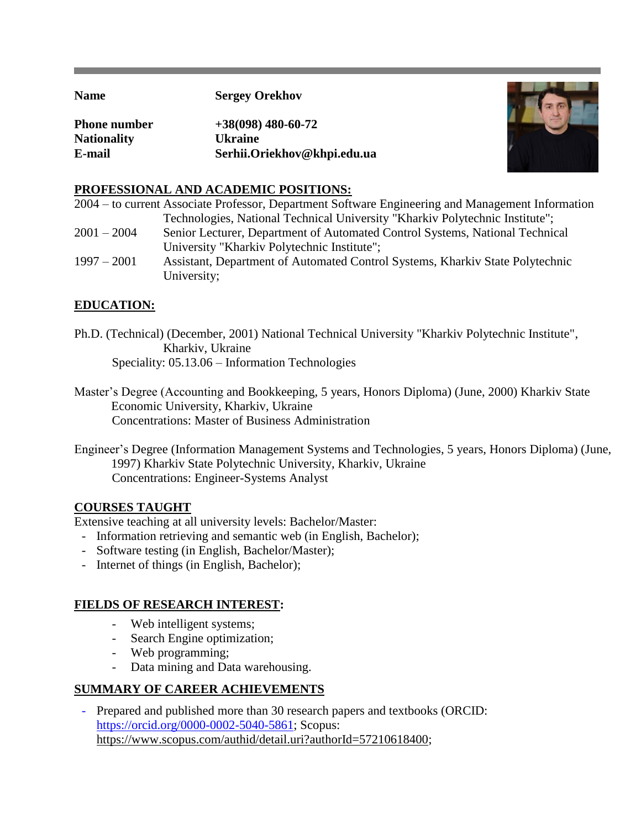**Name Sergey Orekhov** 

**Phone number +38(098) 480-60-72 Nationality Ukraine E-mail Serhii.Oriekhov@khpi.edu.ua**



## **PROFESSIONAL AND ACADEMIC POSITIONS:**

|               | 2004 – to current Associate Professor, Department Software Engineering and Management Information |
|---------------|---------------------------------------------------------------------------------------------------|
|               | Technologies, National Technical University "Kharkiv Polytechnic Institute";                      |
| $2001 - 2004$ | Senior Lecturer, Department of Automated Control Systems, National Technical                      |
|               | University "Kharkiv Polytechnic Institute";                                                       |
| $1997 - 2001$ | Assistant, Department of Automated Control Systems, Kharkiv State Polytechnic                     |
|               | University;                                                                                       |

# **EDUCATION:**

Ph.D. (Technical) (December, 2001) National Technical University "Kharkiv Polytechnic Institute", Kharkiv, Ukraine Speciality: 05.13.06 – Information Technologies

Master's Degree (Accounting and Bookkeeping, 5 years, Honors Diploma) (June, 2000) Kharkiv State Economic University, Kharkiv, Ukraine Concentrations: Master of Business Administration

Engineer's Degree (Information Management Systems and Technologies, 5 years, Honors Diploma) (June, 1997) Kharkiv State Polytechnic University, Kharkiv, Ukraine Concentrations: Engineer-Systems Analyst

### **COURSES TAUGHT**

Extensive teaching at all university levels: Bachelor/Master:

- Information retrieving and semantic web (in English, Bachelor);
- Software testing (in English, Bachelor/Master);
- Internet of things (in English, Bachelor);

# **FIELDS OF RESEARCH INTEREST:**

- Web intelligent systems;
- Search Engine optimization;
- Web programming;
- Data mining and Data warehousing.

# **SUMMARY OF CAREER ACHIEVEMENTS**

- Prepared and published more than 30 research papers and textbooks (ORCID: [https://orcid.org/0000-0002-5040-5861;](https://orcid.org/0000-0003-4454-2314) Scopus: https://www.scopus.com/authid/detail.uri?authorId=57210618400;